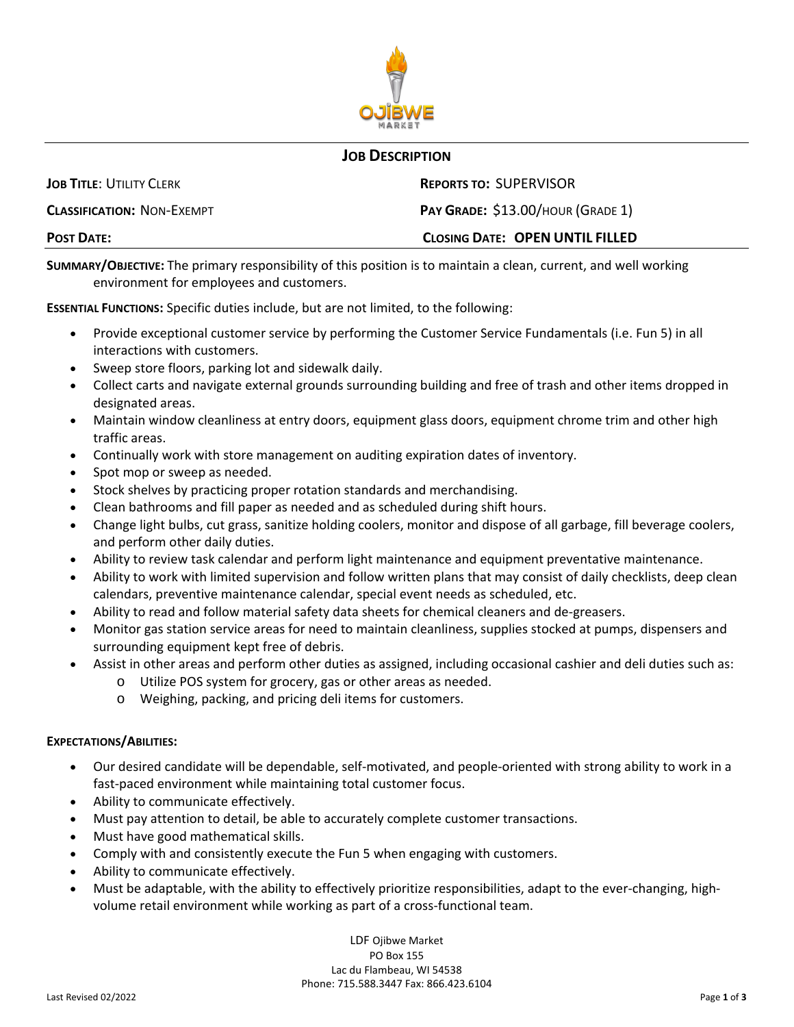

## **JOB DESCRIPTION**

| <b>POST DATE:</b>                 | <b>CLOSING DATE: OPEN UNTIL FILLED</b> |
|-----------------------------------|----------------------------------------|
| <b>CLASSIFICATION: NON-EXEMPT</b> | PAY GRADE: \$13.00/HOUR (GRADE 1)      |
| <b>JOB TITLE: UTILITY CLERK</b>   | <b>REPORTS TO: SUPERVISOR</b>          |

**SUMMARY/OBJECTIVE:** The primary responsibility of this position is to maintain a clean, current, and well working environment for employees and customers.

**ESSENTIAL FUNCTIONS:** Specific duties include, but are not limited, to the following:

- Provide exceptional customer service by performing the Customer Service Fundamentals (i.e. Fun 5) in all interactions with customers.
- Sweep store floors, parking lot and sidewalk daily.
- Collect carts and navigate external grounds surrounding building and free of trash and other items dropped in designated areas.
- Maintain window cleanliness at entry doors, equipment glass doors, equipment chrome trim and other high traffic areas.
- Continually work with store management on auditing expiration dates of inventory.
- Spot mop or sweep as needed.
- Stock shelves by practicing proper rotation standards and merchandising.
- Clean bathrooms and fill paper as needed and as scheduled during shift hours.
- Change light bulbs, cut grass, sanitize holding coolers, monitor and dispose of all garbage, fill beverage coolers, and perform other daily duties.
- Ability to review task calendar and perform light maintenance and equipment preventative maintenance.
- Ability to work with limited supervision and follow written plans that may consist of daily checklists, deep clean calendars, preventive maintenance calendar, special event needs as scheduled, etc.
- Ability to read and follow material safety data sheets for chemical cleaners and de-greasers.
- Monitor gas station service areas for need to maintain cleanliness, supplies stocked at pumps, dispensers and surrounding equipment kept free of debris.
- Assist in other areas and perform other duties as assigned, including occasional cashier and deli duties such as:
	- o Utilize POS system for grocery, gas or other areas as needed.
	- o Weighing, packing, and pricing deli items for customers.

## **EXPECTATIONS/ABILITIES:**

- Our desired candidate will be dependable, self-motivated, and people-oriented with strong ability to work in a fast-paced environment while maintaining total customer focus.
- Ability to communicate effectively.
- Must pay attention to detail, be able to accurately complete customer transactions.
- Must have good mathematical skills.
- Comply with and consistently execute the Fun 5 when engaging with customers.
- Ability to communicate effectively.
- Must be adaptable, with the ability to effectively prioritize responsibilities, adapt to the ever-changing, highvolume retail environment while working as part of a cross-functional team.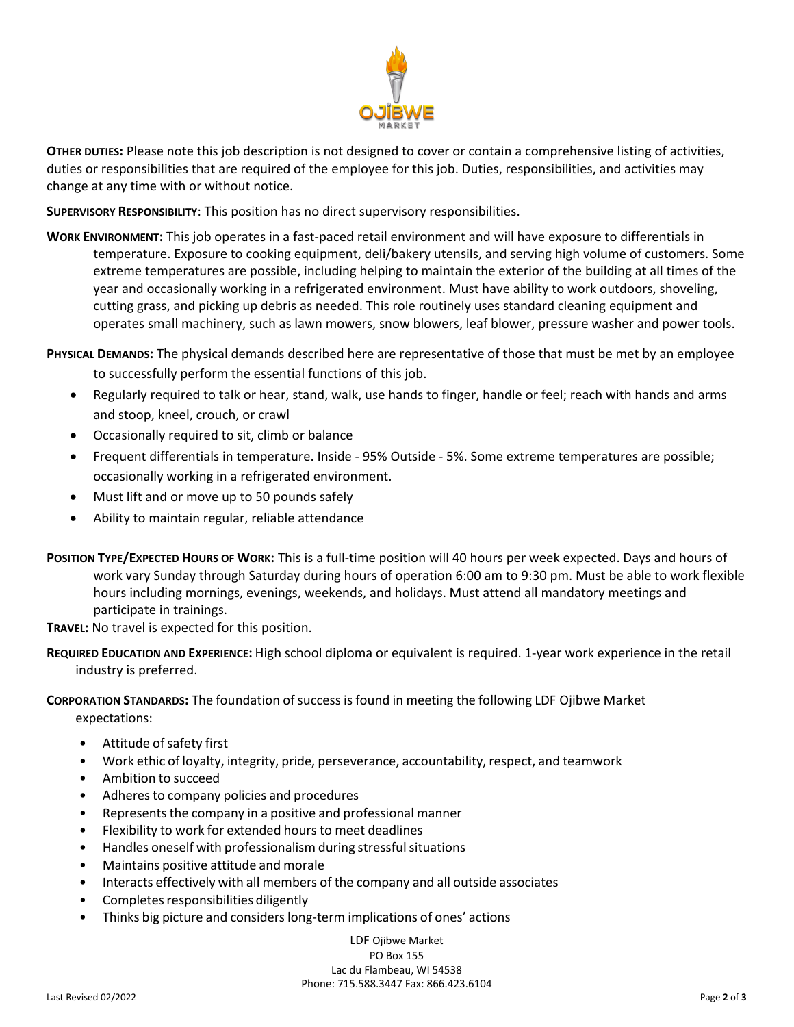

**OTHER DUTIES:** Please note this job description is not designed to cover or contain a comprehensive listing of activities, duties or responsibilities that are required of the employee for this job. Duties, responsibilities, and activities may change at any time with or without notice.

**SUPERVISORY RESPONSIBILITY**: This position has no direct supervisory responsibilities.

**WORK ENVIRONMENT:** This job operates in a fast-paced retail environment and will have exposure to differentials in temperature. Exposure to cooking equipment, deli/bakery utensils, and serving high volume of customers. Some extreme temperatures are possible, including helping to maintain the exterior of the building at all times of the year and occasionally working in a refrigerated environment. Must have ability to work outdoors, shoveling, cutting grass, and picking up debris as needed. This role routinely uses standard cleaning equipment and operates small machinery, such as lawn mowers, snow blowers, leaf blower, pressure washer and power tools.

**PHYSICAL DEMANDS:** The physical demands described here are representative of those that must be met by an employee

- to successfully perform the essential functions of this job.
- Regularly required to talk or hear, stand, walk, use hands to finger, handle or feel; reach with hands and arms and stoop, kneel, crouch, or crawl
- Occasionally required to sit, climb or balance
- Frequent differentials in temperature. Inside 95% Outside 5%. Some extreme temperatures are possible; occasionally working in a refrigerated environment.
- Must lift and or move up to 50 pounds safely
- Ability to maintain regular, reliable attendance
- **POSITION TYPE/EXPECTED HOURS OF WORK:** This is a full-time position will 40 hours per week expected. Days and hours of work vary Sunday through Saturday during hours of operation 6:00 am to 9:30 pm. Must be able to work flexible hours including mornings, evenings, weekends, and holidays. Must attend all mandatory meetings and participate in trainings.

**TRAVEL:** No travel is expected for this position.

**REQUIRED EDUCATION AND EXPERIENCE:** High school diploma or equivalent is required. 1-year work experience in the retail industry is preferred.

**CORPORATION STANDARDS:** The foundation ofsuccess is found in meeting the following LDF Ojibwe Market expectations:

- Attitude of safety first
- Work ethic of loyalty, integrity, pride, perseverance, accountability, respect, and teamwork
- Ambition to succeed
- Adheres to company policies and procedures
- Represents the company in a positive and professional manner
- Flexibility to work for extended hours to meet deadlines
- Handles oneself with professionalism during stressful situations
- Maintains positive attitude and morale
- Interacts effectively with all members of the company and all outside associates
- Completes responsibilities diligently
- Thinks big picture and considers long-term implications of ones' actions